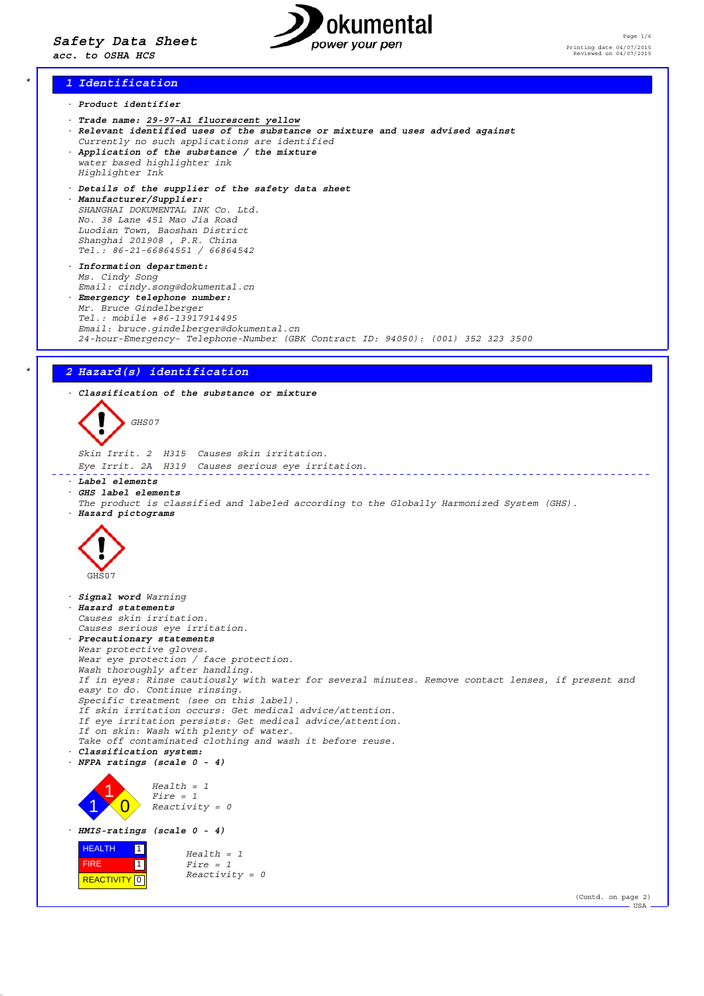

# *\* 1 Identification*

- *· Product identifier*
- *· Trade name: 29-97-A1 fluorescent yellow*
- *· Relevant identified uses of the substance or mixture and uses advised against Currently no such applications are identified · Application of the substance / the mixture*
- *water based highlighter ink Highlighter Ink*
- *· Details of the supplier of the safety data sheet*
- *· Manufacturer/Supplier: SHANGHAI DOKUMENTAL INK Co. Ltd. No. 38 Lane 451 Mao Jia Road Luodian Town, Baoshan District Shanghai 201908 , P.R. China Tel.: 86-21-66864551 / 66864542*
- *· Information department: Ms. Cindy Song Email: cindy.song@dokumental.cn*
- *· Emergency telephone number: Mr. Bruce Gindelberger Tel.: mobile +86-13917914495 Email: bruce.gindelberger@dokumental.cn 24-hour-Emergency- Telephone-Number (GBK Contract ID: 94050): (001) 352 323 3500*

*\* 2 Hazard(s) identification · Classification of the substance or mixture GHS07 Skin Irrit. 2 H315 Causes skin irritation. Eye Irrit. 2A H319 Causes serious eye irritation.* \_\_\_\_\_\_\_\_\_\_\_\_\_\_\_\_\_\_\_\_\_\_\_\_\_\_\_\_\_\_ <u>. . . . . . . . . . . .</u> *· Label elements · GHS label elements The product is classified and labeled according to the Globally Harmonized System (GHS). · Hazard pictograms* GHS07 *· Signal word Warning · Hazard statements Causes skin irritation. Causes serious eye irritation. · Precautionary statements Wear protective gloves. Wear eye protection / face protection. Wash thoroughly after handling. If in eyes: Rinse cautiously with water for several minutes. Remove contact lenses, if present and easy to do. Continue rinsing. Specific treatment (see on this label). If skin irritation occurs: Get medical advice/attention. If eye irritation persists: Get medical advice/attention. If on skin: Wash with plenty of water. Take off contaminated clothing and wash it before reuse. · Classification system: · NFPA ratings (scale 0 - 4) Health = 1* 1 *Fire = 1* 1  $\overline{\mathbf{0}}$ *Reactivity = 0 · HMIS-ratings (scale 0 - 4)* **HEALTH**  $\boxed{1}$ *Health = 1* **11**  FIRE  $Firc = 1$ *Reactivity = 0* **REACTIVITY** 0 (Contd. on page 2) USA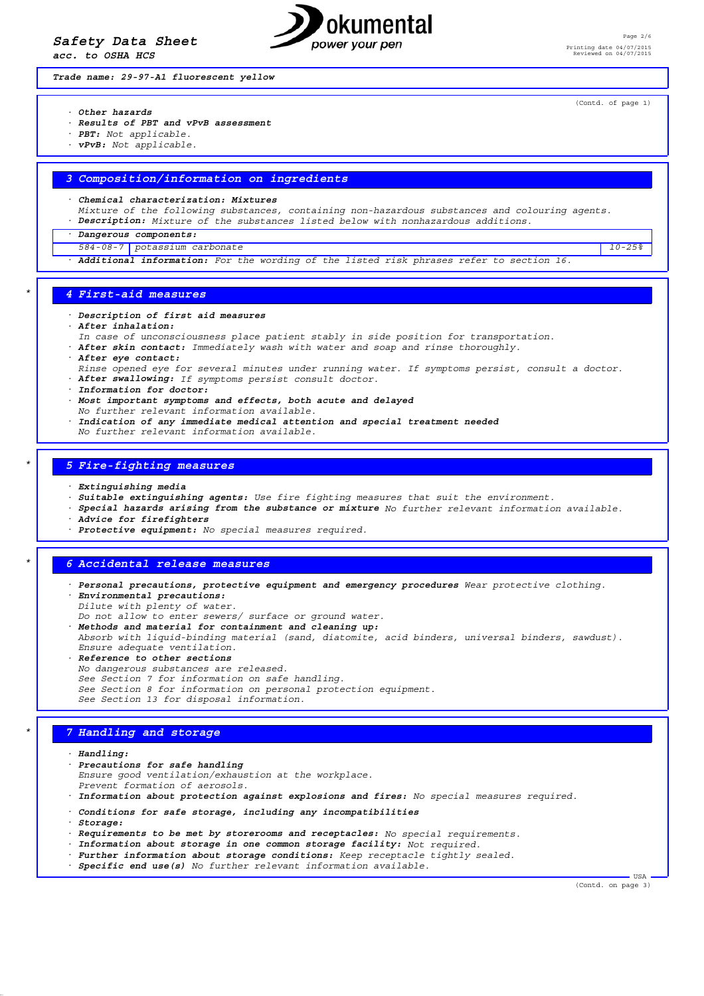*Safety Data Sheet*

*acc. to OSHA HCS*



Page 2/6 Printing date 04/07/2015 Reviewed on 04/07/2015

*Trade name: 29-97-A1 fluorescent yellow*

(Contd. of page 1)

- *· Other hazards*
- *· Results of PBT and vPvB assessment*
- *· PBT: Not applicable.*
- *· vPvB: Not applicable.*

### *3 Composition/information on ingredients*

*· Chemical characterization: Mixtures*

- *Mixture of the following substances, containing non-hazardous substances and colouring agents.*
- *· Description: Mixture of the substances listed below with nonhazardous additions.*
- *· Dangerous components:*
- *584-08-7 potassium carbonate 10-25%*
- *· Additional information: For the wording of the listed risk phrases refer to section 16.*

#### *\* 4 First-aid measures*

- *· Description of first aid measures*
- *· After inhalation:*
- *In case of unconsciousness place patient stably in side position for transportation.*
- *· After skin contact: Immediately wash with water and soap and rinse thoroughly.*
- *· After eye contact:*
- *Rinse opened eye for several minutes under running water. If symptoms persist, consult a doctor.*
- *· After swallowing: If symptoms persist consult doctor.*
- *· Information for doctor:*
- *· Most important symptoms and effects, both acute and delayed*
- *No further relevant information available.*
- *· Indication of any immediate medical attention and special treatment needed No further relevant information available.*

### *\* 5 Fire-fighting measures*

- *· Extinguishing media*
- *· Suitable extinguishing agents: Use fire fighting measures that suit the environment.*
- *· Special hazards arising from the substance or mixture No further relevant information available.*
- *· Advice for firefighters*
- *· Protective equipment: No special measures required.*

## *\* 6 Accidental release measures*

- *· Personal precautions, protective equipment and emergency procedures Wear protective clothing. · Environmental precautions:*
- *Dilute with plenty of water. Do not allow to enter sewers/ surface or ground water.*
- *· Methods and material for containment and cleaning up:*
- *Absorb with liquid-binding material (sand, diatomite, acid binders, universal binders, sawdust). Ensure adequate ventilation.*
- *· Reference to other sections No dangerous substances are released. See Section 7 for information on safe handling. See Section 8 for information on personal protection equipment. See Section 13 for disposal information.*

## *\* 7 Handling and storage*

*· Handling:*

- *· Precautions for safe handling Ensure good ventilation/exhaustion at the workplace. Prevent formation of aerosols.*
- *· Information about protection against explosions and fires: No special measures required.*
- *· Conditions for safe storage, including any incompatibilities*
- *· Storage:*
- *· Requirements to be met by storerooms and receptacles: No special requirements.*
- *· Information about storage in one common storage facility: Not required.*
- *· Further information about storage conditions: Keep receptacle tightly sealed.*
- *· Specific end use(s) No further relevant information available.*

(Contd. on page 3)

USA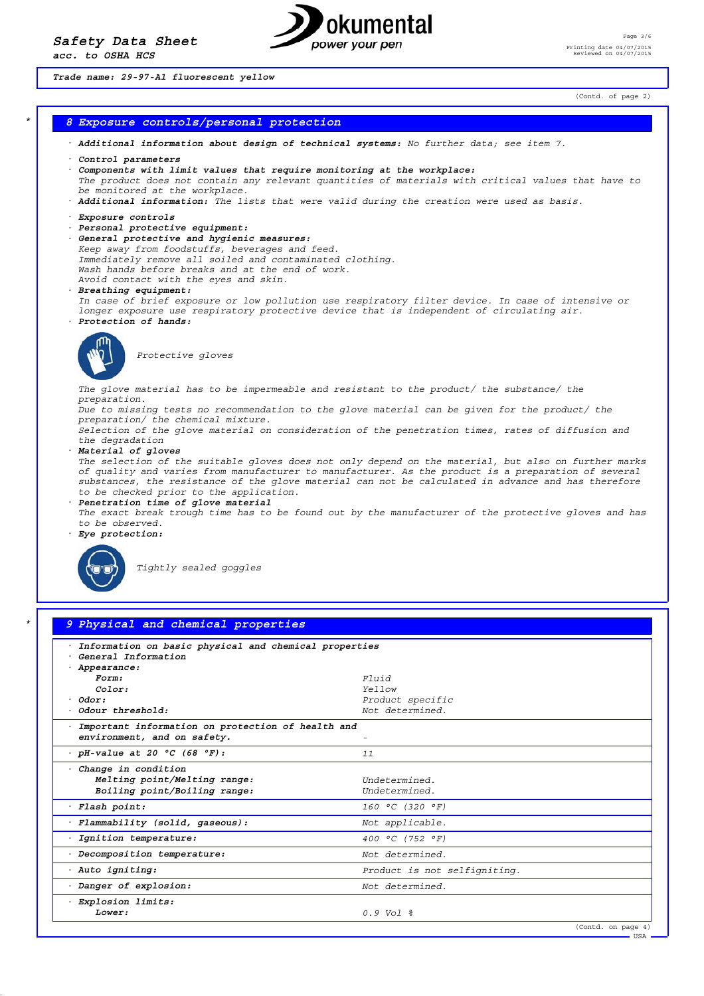

Page 3/6 Printing date 04/07/2015 Reviewed on 04/07/2015

*Trade name: 29-97-A1 fluorescent yellow*

(Contd. of page 2)

## *\* 8 Exposure controls/personal protection*

- *· Additional information about design of technical systems: No further data; see item 7.*
- *· Control parameters*
- *· Components with limit values that require monitoring at the workplace: The product does not contain any relevant quantities of materials with critical values that have to be monitored at the workplace.*
- *· Additional information: The lists that were valid during the creation were used as basis.*
- *· Exposure controls*
- *· Personal protective equipment:*
- *· General protective and hygienic measures:*
- *Keep away from foodstuffs, beverages and feed. Immediately remove all soiled and contaminated clothing. Wash hands before breaks and at the end of work.*
- *Avoid contact with the eyes and skin.*
- *· Breathing equipment:*
- *In case of brief exposure or low pollution use respiratory filter device. In case of intensive or longer exposure use respiratory protective device that is independent of circulating air.*
- *· Protection of hands:*



*Protective gloves*

*The glove material has to be impermeable and resistant to the product/ the substance/ the preparation.*

*Due to missing tests no recommendation to the glove material can be given for the product/ the preparation/ the chemical mixture.*

*Selection of the glove material on consideration of the penetration times, rates of diffusion and the degradation*

*· Material of gloves*

*The selection of the suitable gloves does not only depend on the material, but also on further marks of quality and varies from manufacturer to manufacturer. As the product is a preparation of several substances, the resistance of the glove material can not be calculated in advance and has therefore to be checked prior to the application.*

- *· Penetration time of glove material The exact break trough time has to be found out by the manufacturer of the protective gloves and has to be observed.*
- *· Eye protection:*



*Tightly sealed goggles*

| Information on basic physical and chemical properties |                                  |  |
|-------------------------------------------------------|----------------------------------|--|
| · General Information                                 |                                  |  |
| · Appearance:                                         |                                  |  |
| Form:<br>Color:                                       | $F1$ $ii d$<br>Yellow            |  |
| $·$ Odor:                                             | Product specific                 |  |
| $.$ Odour threshold:                                  | Not determined.                  |  |
| Important information on protection of health and     |                                  |  |
| environment, and on safety.                           |                                  |  |
| $\cdot$ pH-value at 20 $\degree$ C (68 $\degree$ F):  | 11                               |  |
| Change in condition                                   |                                  |  |
| Melting point/Melting range:                          | Indetermined                     |  |
| Boiling point/Boiling range:                          | Undetermined.                    |  |
| · Flash point:                                        | $160 °C$ (320 °F)                |  |
| Flammability (solid, qaseous):                        | Not applicable.                  |  |
| Ignition temperature:                                 | 400 °C (752 °F)                  |  |
| · Decomposition temperature:                          | Not determined.                  |  |
| · Auto igniting:                                      | Product is not selfigniting.     |  |
| Danger of explosion:                                  | Not determined.                  |  |
| · Explosion limits:                                   |                                  |  |
| Lower:                                                | $0.9 \text{ Vol }$ $\frac{6}{5}$ |  |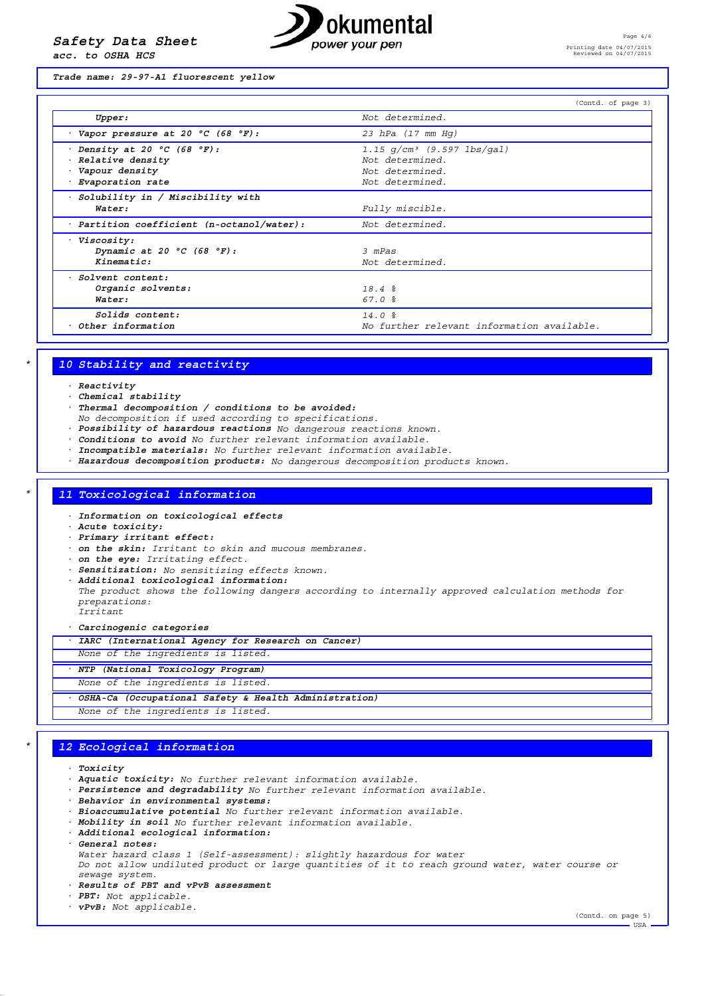*acc. to OSHA HCS*



*Trade name: 29-97-A1 fluorescent yellow*

|                                                                                                         | (Contd. of page 3)                                                                     |
|---------------------------------------------------------------------------------------------------------|----------------------------------------------------------------------------------------|
| Upper:                                                                                                  | Not determined.                                                                        |
| $\cdot$ Vapor pressure at 20 °C (68 °F):                                                                | 23 hPa $(17$ mm Hq)                                                                    |
| Density at 20 $^{\circ}$ C (68 $^{\circ}$ F):<br>Relative density<br>Vapour density<br>Evaporation rate | 1.15 $q/cm^3$ (9.597 lbs/qal)<br>Not determined.<br>Not determined.<br>Not determined. |
| Solubility in / Miscibility with<br>Water:                                                              | Fully miscible.                                                                        |
| Partition coefficient (n-octanol/water):                                                                | Not determined.                                                                        |
| <i>Viscosity:</i><br>Dynamic at 20 $^{\circ}$ C (68 $^{\circ}$ F):<br>Kinematic:                        | 3 mPas<br>Not determined.                                                              |
| · Solvent content:<br>Organic solvents:<br>Water:                                                       | 18.4%<br>67.0%                                                                         |
| Solids content:<br>Other information                                                                    | 14.0%<br>No further relevant information available.                                    |

## *\* 10 Stability and reactivity*

*· Reactivity*

- *· Chemical stability*
- *· Thermal decomposition / conditions to be avoided:*
- *No decomposition if used according to specifications.*
- *· Possibility of hazardous reactions No dangerous reactions known.*
- *· Conditions to avoid No further relevant information available.*
- *· Incompatible materials: No further relevant information available.*
- *· Hazardous decomposition products: No dangerous decomposition products known.*

### *\* 11 Toxicological information*

- *· Information on toxicological effects*
- *· Acute toxicity:*
- *· Primary irritant effect:*
- *· on the skin: Irritant to skin and mucous membranes.*
- *· on the eye: Irritating effect.*
- *· Sensitization: No sensitizing effects known.*
- *· Additional toxicological information:*
- *The product shows the following dangers according to internally approved calculation methods for preparations:*

*Irritant*

*· Carcinogenic categories*

| IARC (International Agency for Research on Cancer)    |
|-------------------------------------------------------|
| None of the ingredients is listed.                    |
| NTP (National Toxicology Program)                     |
| None of the ingredients is listed.                    |
| OSHA-Ca (Occupational Safety & Health Administration) |
| None of the ingredients is listed.                    |

### *\* 12 Ecological information*

*· Toxicity*

- *· Aquatic toxicity: No further relevant information available.*
- *· Persistence and degradability No further relevant information available.*
- *· Behavior in environmental systems:*
- *· Bioaccumulative potential No further relevant information available.*
- *· Mobility in soil No further relevant information available.*
- *· Additional ecological information:*
- *· General notes:*

*Water hazard class 1 (Self-assessment): slightly hazardous for water Do not allow undiluted product or large quantities of it to reach ground water, water course or sewage system.*

- *· Results of PBT and vPvB assessment*
- *· PBT: Not applicable.*
- *· vPvB: Not applicable.*

(Contd. on page 5)  $\overline{\phantom{a}}$ USA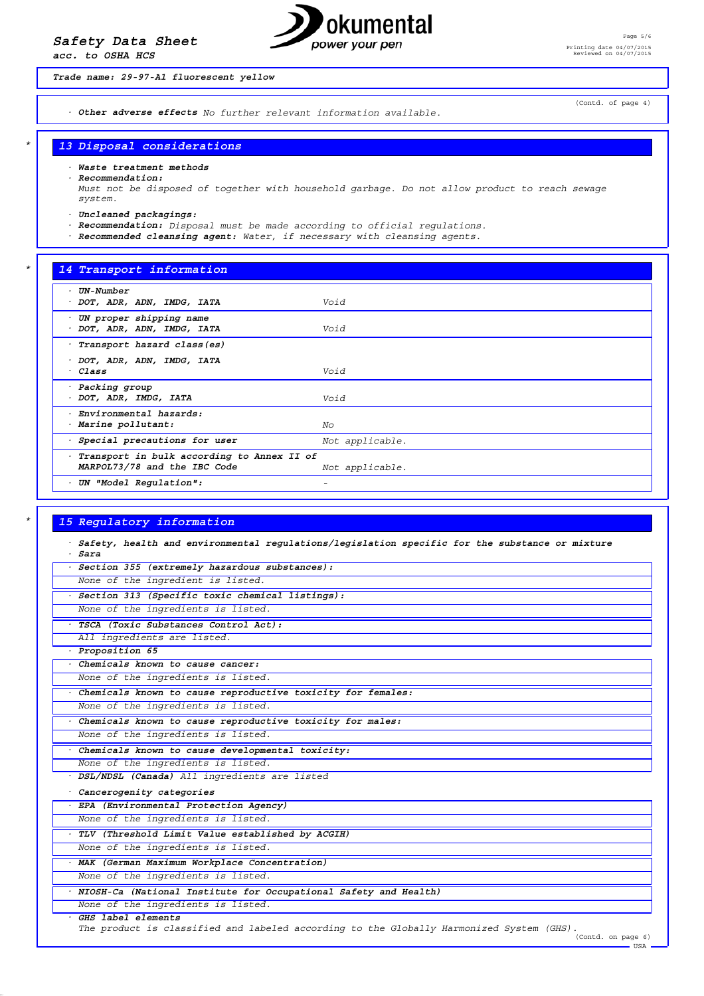*acc. to OSHA HCS*



*Trade name: 29-97-A1 fluorescent yellow*

*· Other adverse effects No further relevant information available.*

(Contd. of page 4)

### *\* 13 Disposal considerations*

*· Waste treatment methods*

*· Recommendation:*

*Must not be disposed of together with household garbage. Do not allow product to reach sewage system.*

- *· Uncleaned packagings:*
- *· Recommendation: Disposal must be made according to official regulations.*

*· Recommended cleansing agent: Water, if necessary with cleansing agents.*

### *\* 14 Transport information*

| UN-Number<br>· DOT, ADR, ADN, IMDG, IATA                                   | Void            |
|----------------------------------------------------------------------------|-----------------|
| UN proper shipping name<br>· DOT, ADR, ADN, IMDG, IATA                     | Void            |
| · Transport hazard class(es)                                               |                 |
| · DOT, ADR, ADN, IMDG, IATA<br>· Class                                     | Void            |
| · Packing group<br>· DOT, ADR, IMDG, IATA                                  | Void            |
| · Environmental hazards:<br>· Marine pollutant:                            | No              |
| · Special precautions for user                                             | Not applicable. |
| Transport in bulk according to Annex II of<br>MARPOL73/78 and the IBC Code | Not applicable. |
| UN "Model Regulation":                                                     | -               |

#### *\* 15 Regulatory information*

*· Safety, health and environmental regulations/legislation specific for the substance or mixture · Sara · Section 355 (extremely hazardous substances): None of the ingredient is listed. · Section 313 (Specific toxic chemical listings):*

*None of the ingredients is listed.*

*· TSCA (Toxic Substances Control Act): All ingredients are listed.*

*· Proposition 65*

*· Chemicals known to cause cancer:*

*None of the ingredients is listed.*

*· Chemicals known to cause reproductive toxicity for females: None of the ingredients is listed.*

*· Chemicals known to cause reproductive toxicity for males: None of the ingredients is listed.*

*· Chemicals known to cause developmental toxicity:*

*None of the ingredients is listed. · DSL/NDSL (Canada) All ingredients are listed*

*· Cancerogenity categories*

*· EPA (Environmental Protection Agency)*

*None of the ingredients is listed.*

*· TLV (Threshold Limit Value established by ACGIH) None of the ingredients is listed.*

*· MAK (German Maximum Workplace Concentration)*

*None of the ingredients is listed.*

*· NIOSH-Ca (National Institute for Occupational Safety and Health)*

*None of the ingredients is listed.*

### *· GHS label elements*

*The product is classified and labeled according to the Globally Harmonized System (GHS).* (Contd. on page 6)